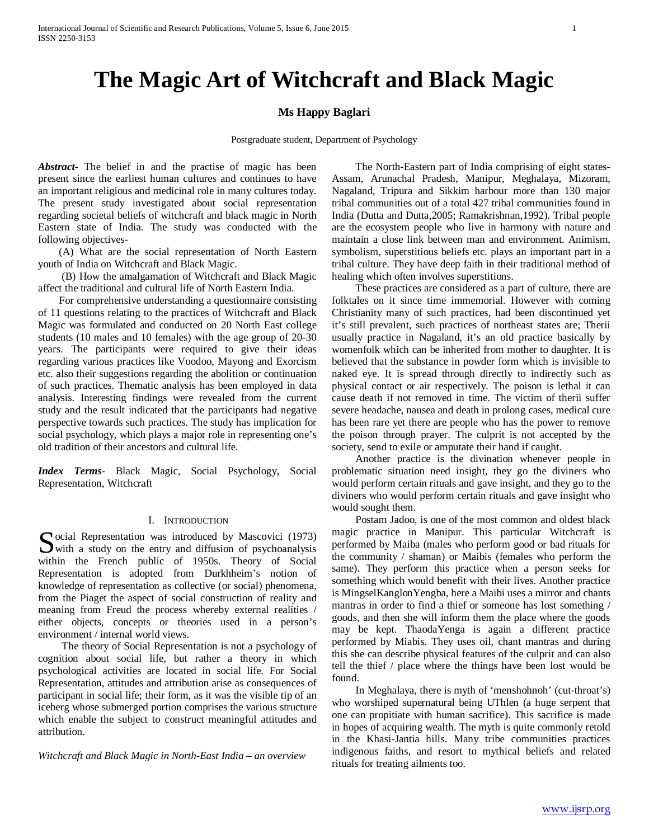# **The Magic Art of Witchcraft and Black Magic**

# **Ms Happy Baglari**

Postgraduate student, Department of Psychology

*Abstract***-** The belief in and the practise of magic has been present since the earliest human cultures and continues to have an important religious and medicinal role in many cultures today. The present study investigated about social representation regarding societal beliefs of witchcraft and black magic in North Eastern state of India. The study was conducted with the following objectives-

 (A) What are the social representation of North Eastern youth of India on Witchcraft and Black Magic.

 (B) How the amalgamation of Witchcraft and Black Magic affect the traditional and cultural life of North Eastern India.

 For comprehensive understanding a questionnaire consisting of 11 questions relating to the practices of Witchcraft and Black Magic was formulated and conducted on 20 North East college students (10 males and 10 females) with the age group of 20-30 years. The participants were required to give their ideas regarding various practices like Voodoo, Mayong and Exorcism etc. also their suggestions regarding the abolition or continuation of such practices. Thematic analysis has been employed in data analysis. Interesting findings were revealed from the current study and the result indicated that the participants had negative perspective towards such practices. The study has implication for social psychology, which plays a major role in representing one's old tradition of their ancestors and cultural life.

*Index Terms*- Black Magic, Social Psychology, Social Representation, Witchcraft

#### I. INTRODUCTION

Social Representation was introduced by Mascovici (1973)<br>
with a study on the entry and diffusion of psychoanalysis  $\sum$  with a study on the entry and diffusion of psychoanalysis within the French public of 1950s. Theory of Social Representation is adopted from Durkhheim's notion of knowledge of representation as collective (or social) phenomena, from the Piaget the aspect of social construction of reality and meaning from Freud the process whereby external realities / either objects, concepts or theories used in a person's environment / internal world views.

 The theory of Social Representation is not a psychology of cognition about social life, but rather a theory in which psychological activities are located in social life. For Social Representation, attitudes and attribution arise as consequences of participant in social life; their form, as it was the visible tip of an iceberg whose submerged portion comprises the various structure which enable the subject to construct meaningful attitudes and attribution.

*Witchcraft and Black Magic in North-East India – an overview*

 The North-Eastern part of India comprising of eight states-Assam, Arunachal Pradesh, Manipur, Meghalaya, Mizoram, Nagaland, Tripura and Sikkim harbour more than 130 major tribal communities out of a total 427 tribal communities found in India (Dutta and Dutta,2005; Ramakrishnan,1992). Tribal people are the ecosystem people who live in harmony with nature and maintain a close link between man and environment. Animism, symbolism, superstitious beliefs etc. plays an important part in a tribal culture. They have deep faith in their traditional method of healing which often involves superstitions.

 These practices are considered as a part of culture, there are folktales on it since time immemorial. However with coming Christianity many of such practices, had been discontinued yet it's still prevalent, such practices of northeast states are; Therii usually practice in Nagaland, it's an old practice basically by womenfolk which can be inherited from mother to daughter. It is believed that the substance in powder form which is invisible to naked eye. It is spread through directly to indirectly such as physical contact or air respectively. The poison is lethal it can cause death if not removed in time. The victim of therii suffer severe headache, nausea and death in prolong cases, medical cure has been rare yet there are people who has the power to remove the poison through prayer. The culprit is not accepted by the society, send to exile or amputate their hand if caught.

 Another practice is the divination whenever people in problematic situation need insight, they go the diviners who would perform certain rituals and gave insight, and they go to the diviners who would perform certain rituals and gave insight who would sought them.

 Postam Jadoo, is one of the most common and oldest black magic practice in Manipur. This particular Witchcraft is performed by Maiba (males who perform good or bad rituals for the community / shaman) or Maibis (females who perform the same). They perform this practice when a person seeks for something which would benefit with their lives. Another practice is MingselKanglonYengba, here a Maibi uses a mirror and chants mantras in order to find a thief or someone has lost something / goods, and then she will inform them the place where the goods may be kept. ThaodaYenga is again a different practice performed by Miabis. They uses oil, chant mantras and during this she can describe physical features of the culprit and can also tell the thief / place where the things have been lost would be found.

 In Meghalaya, there is myth of 'menshohnoh' (cut-throat's) who worshiped supernatural being UThlen (a huge serpent that one can propitiate with human sacrifice). This sacrifice is made in hopes of acquiring wealth. The myth is quite commonly retold in the Khasi-Jantia hills. Many tribe communities practices indigenous faiths, and resort to mythical beliefs and related rituals for treating ailments too.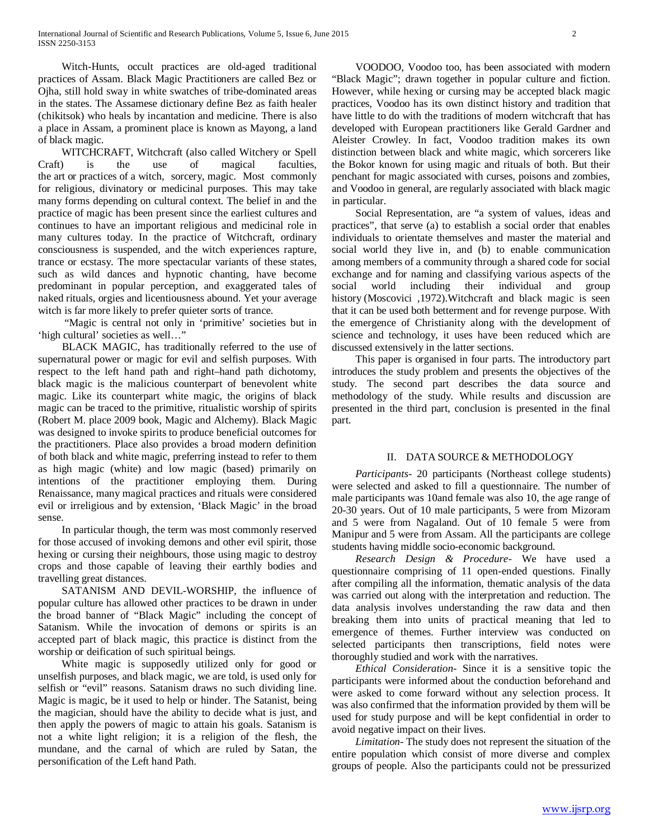Witch-Hunts, occult practices are old-aged traditional practices of Assam. Black Magic Practitioners are called Bez or Ojha, still hold sway in white swatches of tribe-dominated areas in the states. The Assamese dictionary define Bez as faith healer (chikitsok) who heals by incantation and medicine. There is also a place in Assam, a prominent place is known as Mayong, a land of black magic.

 WITCHCRAFT, Witchcraft (also called Witchery or Spell Craft) is the use of magical faculties, the art or practices of a witch, sorcery, magic. Most commonly for religious, divinatory or medicinal purposes. This may take many forms depending on cultural context. The belief in and the practice of magic has been present since the earliest cultures and continues to have an important religious and medicinal role in many cultures today. In the practice of Witchcraft, ordinary consciousness is suspended, and the witch experiences rapture, trance or ecstasy. The more spectacular variants of these states, such as wild dances and hypnotic chanting, have become predominant in popular perception, and exaggerated tales of naked rituals, orgies and licentiousness abound. Yet your average witch is far more likely to prefer quieter sorts of trance.

 "Magic is central not only in 'primitive' societies but in 'high cultural' societies as well…"

 BLACK MAGIC, has traditionally referred to the use of supernatural power or magic for evil and selfish purposes. With respect to the left hand path and right–hand path dichotomy, black magic is the malicious counterpart of benevolent white magic. Like its counterpart white magic, the origins of black magic can be traced to the primitive, ritualistic worship of spirits (Robert M. place 2009 book, Magic and Alchemy). Black Magic was designed to invoke spirits to produce beneficial outcomes for the practitioners. Place also provides a broad modern definition of both black and white magic, preferring instead to refer to them as high magic (white) and low magic (based) primarily on intentions of the practitioner employing them. During Renaissance, many magical practices and rituals were considered evil or irreligious and by extension, 'Black Magic' in the broad sense.

 In particular though, the term was most commonly reserved for those accused of invoking demons and other evil spirit, those hexing or cursing their neighbours, those using magic to destroy crops and those capable of leaving their earthly bodies and travelling great distances.

 SATANISM AND DEVIL-WORSHIP, the influence of popular culture has allowed other practices to be drawn in under the broad banner of "Black Magic" including the concept of Satanism. While the invocation of demons or spirits is an accepted part of black magic, this practice is distinct from the worship or deification of such spiritual beings.

 White magic is supposedly utilized only for good or unselfish purposes, and black magic, we are told, is used only for selfish or "evil" reasons. Satanism draws no such dividing line. Magic is magic, be it used to help or hinder. The Satanist, being the magician, should have the ability to decide what is just, and then apply the powers of magic to attain his goals. Satanism is not a white light religion; it is a religion of the flesh, the mundane, and the carnal of which are ruled by Satan, the personification of the Left hand Path.

 VOODOO, Voodoo too, has been associated with modern "Black Magic"; drawn together in popular culture and fiction. However, while hexing or cursing may be accepted black magic practices, Voodoo has its own distinct history and tradition that have little to do with the traditions of modern witchcraft that has developed with European practitioners like Gerald Gardner and Aleister Crowley. In fact, Voodoo tradition makes its own distinction between black and white magic, which sorcerers like the Bokor known for using magic and rituals of both. But their penchant for magic associated with curses, poisons and zombies, and Voodoo in general, are regularly associated with black magic in particular.

 Social Representation, are "a system of values, ideas and practices", that serve (a) to establish a social order that enables individuals to orientate themselves and master the material and social world they live in, and (b) to enable communication among members of a community through a shared code for social exchange and for naming and classifying various aspects of the social world including their individual and group history (Moscovici, 1972). Witchcraft and black magic is seen that it can be used both betterment and for revenge purpose. With the emergence of Christianity along with the development of science and technology, it uses have been reduced which are discussed extensively in the latter sections.

 This paper is organised in four parts. The introductory part introduces the study problem and presents the objectives of the study. The second part describes the data source and methodology of the study. While results and discussion are presented in the third part, conclusion is presented in the final part.

# II. DATA SOURCE & METHODOLOGY

 *Participants-* 20 participants (Northeast college students) were selected and asked to fill a questionnaire. The number of male participants was 10and female was also 10, the age range of 20-30 years. Out of 10 male participants, 5 were from Mizoram and 5 were from Nagaland. Out of 10 female 5 were from Manipur and 5 were from Assam. All the participants are college students having middle socio-economic background.

 *Research Design & Procedure-* We have used a questionnaire comprising of 11 open-ended questions. Finally after compiling all the information, thematic analysis of the data was carried out along with the interpretation and reduction. The data analysis involves understanding the raw data and then breaking them into units of practical meaning that led to emergence of themes. Further interview was conducted on selected participants then transcriptions, field notes were thoroughly studied and work with the narratives.

 *Ethical Consideration-* Since it is a sensitive topic the participants were informed about the conduction beforehand and were asked to come forward without any selection process. It was also confirmed that the information provided by them will be used for study purpose and will be kept confidential in order to avoid negative impact on their lives.

 *Limitation-* The study does not represent the situation of the entire population which consist of more diverse and complex groups of people. Also the participants could not be pressurized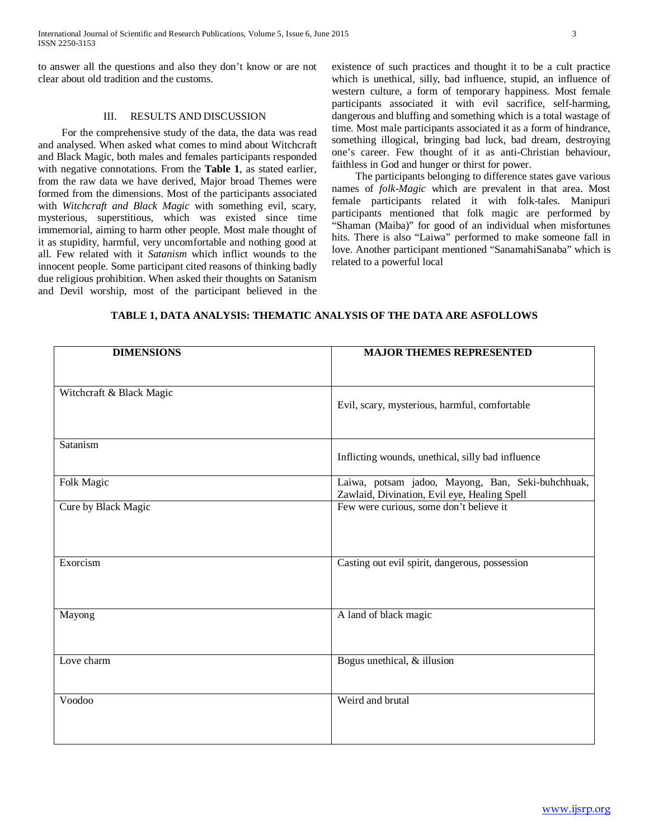to answer all the questions and also they don't know or are not clear about old tradition and the customs.

## III. RESULTS AND DISCUSSION

 For the comprehensive study of the data, the data was read and analysed. When asked what comes to mind about Witchcraft and Black Magic, both males and females participants responded with negative connotations. From the **Table 1**, as stated earlier, from the raw data we have derived, Major broad Themes were formed from the dimensions. Most of the participants associated with *Witchcraft and Black Magic* with something evil, scary, mysterious, superstitious, which was existed since time immemorial, aiming to harm other people. Most male thought of it as stupidity, harmful, very uncomfortable and nothing good at all. Few related with it *Satanism* which inflict wounds to the innocent people. Some participant cited reasons of thinking badly due religious prohibition. When asked their thoughts on Satanism and Devil worship, most of the participant believed in the existence of such practices and thought it to be a cult practice which is unethical, silly, bad influence, stupid, an influence of western culture, a form of temporary happiness. Most female participants associated it with evil sacrifice, self-harming, dangerous and bluffing and something which is a total wastage of time. Most male participants associated it as a form of hindrance, something illogical, bringing bad luck, bad dream, destroying one's career. Few thought of it as anti-Christian behaviour, faithless in God and hunger or thirst for power.

 The participants belonging to difference states gave various names of *folk-Magic* which are prevalent in that area. Most female participants related it with folk-tales. Manipuri participants mentioned that folk magic are performed by "Shaman (Maiba)" for good of an individual when misfortunes hits. There is also "Laiwa" performed to make someone fall in love. Another participant mentioned "SanamahiSanaba" which is related to a powerful local

|  | TABLE 1. DATA ANALYSIS: THEMATIC ANALYSIS OF THE DATA ARE ASFOLLOWS |
|--|---------------------------------------------------------------------|
|--|---------------------------------------------------------------------|

| <b>DIMENSIONS</b>        | <b>MAJOR THEMES REPRESENTED</b>                                                                   |
|--------------------------|---------------------------------------------------------------------------------------------------|
|                          |                                                                                                   |
| Witchcraft & Black Magic | Evil, scary, mysterious, harmful, comfortable                                                     |
|                          |                                                                                                   |
| Satanism                 | Inflicting wounds, unethical, silly bad influence                                                 |
|                          |                                                                                                   |
| Folk Magic               | Laiwa, potsam jadoo, Mayong, Ban, Seki-buhchhuak,<br>Zawlaid, Divination, Evil eye, Healing Spell |
| Cure by Black Magic      | Few were curious, some don't believe it                                                           |
|                          |                                                                                                   |
|                          |                                                                                                   |
| Exorcism                 | Casting out evil spirit, dangerous, possession                                                    |
|                          |                                                                                                   |
| Mayong                   | A land of black magic                                                                             |
|                          |                                                                                                   |
| Love charm               | Bogus unethical, & illusion                                                                       |
|                          |                                                                                                   |
| Voodoo                   | Weird and brutal                                                                                  |
|                          |                                                                                                   |
|                          |                                                                                                   |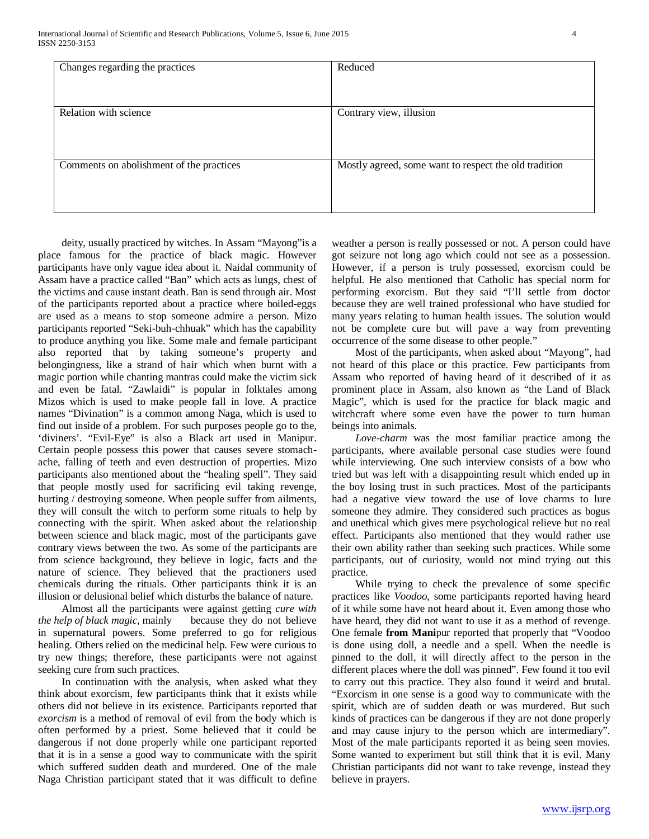| Changes regarding the practices          | Reduced                                               |
|------------------------------------------|-------------------------------------------------------|
| Relation with science                    | Contrary view, illusion                               |
| Comments on abolishment of the practices | Mostly agreed, some want to respect the old tradition |
|                                          |                                                       |

 deity, usually practiced by witches. In Assam "Mayong"is a place famous for the practice of black magic. However participants have only vague idea about it. Naidal community of Assam have a practice called "Ban" which acts as lungs, chest of the victims and cause instant death. Ban is send through air. Most of the participants reported about a practice where boiled-eggs are used as a means to stop someone admire a person. Mizo participants reported "Seki-buh-chhuak" which has the capability to produce anything you like. Some male and female participant also reported that by taking someone's property and belongingness, like a strand of hair which when burnt with a magic portion while chanting mantras could make the victim sick and even be fatal. "Zawlaidi" is popular in folktales among Mizos which is used to make people fall in love. A practice names "Divination" is a common among Naga, which is used to find out inside of a problem. For such purposes people go to the, 'diviners'. "Evil-Eye" is also a Black art used in Manipur. Certain people possess this power that causes severe stomachache, falling of teeth and even destruction of properties. Mizo participants also mentioned about the "healing spell". They said that people mostly used for sacrificing evil taking revenge, hurting / destroying someone. When people suffer from ailments, they will consult the witch to perform some rituals to help by connecting with the spirit. When asked about the relationship between science and black magic, most of the participants gave contrary views between the two. As some of the participants are from science background, they believe in logic, facts and the nature of science. They believed that the practioners used chemicals during the rituals. Other participants think it is an illusion or delusional belief which disturbs the balance of nature.

 Almost all the participants were against getting *cure with the help of black magic,* mainly because they do not believe in supernatural powers. Some preferred to go for religious healing. Others relied on the medicinal help. Few were curious to try new things; therefore, these participants were not against seeking cure from such practices.

 In continuation with the analysis, when asked what they think about exorcism, few participants think that it exists while others did not believe in its existence. Participants reported that *exorcism* is a method of removal of evil from the body which is often performed by a priest. Some believed that it could be dangerous if not done properly while one participant reported that it is in a sense a good way to communicate with the spirit which suffered sudden death and murdered. One of the male Naga Christian participant stated that it was difficult to define weather a person is really possessed or not. A person could have got seizure not long ago which could not see as a possession. However, if a person is truly possessed, exorcism could be helpful. He also mentioned that Catholic has special norm for performing exorcism. But they said "I'll settle from doctor because they are well trained professional who have studied for many years relating to human health issues. The solution would not be complete cure but will pave a way from preventing occurrence of the some disease to other people."

 Most of the participants, when asked about "Mayong", had not heard of this place or this practice. Few participants from Assam who reported of having heard of it described of it as prominent place in Assam, also known as "the Land of Black Magic", which is used for the practice for black magic and witchcraft where some even have the power to turn human beings into animals.

 *Love-charm* was the most familiar practice among the participants, where available personal case studies were found while interviewing. One such interview consists of a bow who tried but was left with a disappointing result which ended up in the boy losing trust in such practices. Most of the participants had a negative view toward the use of love charms to lure someone they admire. They considered such practices as bogus and unethical which gives mere psychological relieve but no real effect. Participants also mentioned that they would rather use their own ability rather than seeking such practices. While some participants, out of curiosity, would not mind trying out this practice.

 While trying to check the prevalence of some specific practices like *Voodoo*, some participants reported having heard of it while some have not heard about it. Even among those who have heard, they did not want to use it as a method of revenge. One female **from Mani**pur reported that properly that "Voodoo is done using doll, a needle and a spell. When the needle is pinned to the doll, it will directly affect to the person in the different places where the doll was pinned". Few found it too evil to carry out this practice. They also found it weird and brutal. "Exorcism in one sense is a good way to communicate with the spirit, which are of sudden death or was murdered. But such kinds of practices can be dangerous if they are not done properly and may cause injury to the person which are intermediary". Most of the male participants reported it as being seen movies. Some wanted to experiment but still think that it is evil. Many Christian participants did not want to take revenge, instead they believe in prayers.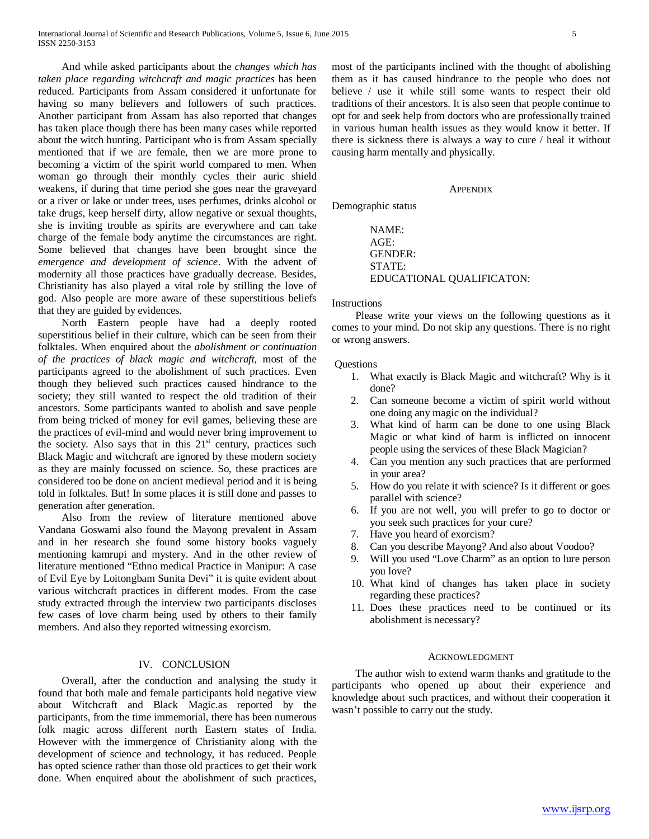And while asked participants about the *changes which has taken place regarding witchcraft and magic practices* has been reduced. Participants from Assam considered it unfortunate for having so many believers and followers of such practices. Another participant from Assam has also reported that changes has taken place though there has been many cases while reported about the witch hunting. Participant who is from Assam specially mentioned that if we are female, then we are more prone to becoming a victim of the spirit world compared to men. When woman go through their monthly cycles their auric shield weakens, if during that time period she goes near the graveyard or a river or lake or under trees, uses perfumes, drinks alcohol or take drugs, keep herself dirty, allow negative or sexual thoughts, she is inviting trouble as spirits are everywhere and can take charge of the female body anytime the circumstances are right. Some believed that changes have been brought since the *emergence and development of science*. With the advent of modernity all those practices have gradually decrease. Besides, Christianity has also played a vital role by stilling the love of god. Also people are more aware of these superstitious beliefs that they are guided by evidences.

 North Eastern people have had a deeply rooted superstitious belief in their culture, which can be seen from their folktales. When enquired about the *abolishment or continuation of the practices of black magic and witchcraft,* most of the participants agreed to the abolishment of such practices. Even though they believed such practices caused hindrance to the society; they still wanted to respect the old tradition of their ancestors. Some participants wanted to abolish and save people from being tricked of money for evil games, believing these are the practices of evil-mind and would never bring improvement to the society. Also says that in this  $21<sup>st</sup>$  century, practices such Black Magic and witchcraft are ignored by these modern society as they are mainly focussed on science. So, these practices are considered too be done on ancient medieval period and it is being told in folktales. But! In some places it is still done and passes to generation after generation.

 Also from the review of literature mentioned above Vandana Goswami also found the Mayong prevalent in Assam and in her research she found some history books vaguely mentioning kamrupi and mystery. And in the other review of literature mentioned "Ethno medical Practice in Manipur: A case of Evil Eye by Loitongbam Sunita Devi" it is quite evident about various witchcraft practices in different modes. From the case study extracted through the interview two participants discloses few cases of love charm being used by others to their family members. And also they reported witnessing exorcism.

# IV. CONCLUSION

 Overall, after the conduction and analysing the study it found that both male and female participants hold negative view about Witchcraft and Black Magic.as reported by the participants, from the time immemorial, there has been numerous folk magic across different north Eastern states of India. However with the immergence of Christianity along with the development of science and technology, it has reduced. People has opted science rather than those old practices to get their work done. When enquired about the abolishment of such practices, most of the participants inclined with the thought of abolishing them as it has caused hindrance to the people who does not believe / use it while still some wants to respect their old traditions of their ancestors. It is also seen that people continue to opt for and seek help from doctors who are professionally trained in various human health issues as they would know it better. If there is sickness there is always a way to cure / heal it without causing harm mentally and physically.

#### APPENDIX

Demographic status

NAME: AGE: GENDER: STATE: EDUCATIONAL QUALIFICATON:

#### **Instructions**

 Please write your views on the following questions as it comes to your mind. Do not skip any questions. There is no right or wrong answers.

#### Questions

- 1. What exactly is Black Magic and witchcraft? Why is it done?
- 2. Can someone become a victim of spirit world without one doing any magic on the individual?
- 3. What kind of harm can be done to one using Black Magic or what kind of harm is inflicted on innocent people using the services of these Black Magician?
- 4. Can you mention any such practices that are performed in your area?
- 5. How do you relate it with science? Is it different or goes parallel with science?
- 6. If you are not well, you will prefer to go to doctor or you seek such practices for your cure?
- 7. Have you heard of exorcism?
- 8. Can you describe Mayong? And also about Voodoo?
- 9. Will you used "Love Charm" as an option to lure person you love?
- 10. What kind of changes has taken place in society regarding these practices?
- 11. Does these practices need to be continued or its abolishment is necessary?

#### ACKNOWLEDGMENT

 The author wish to extend warm thanks and gratitude to the participants who opened up about their experience and knowledge about such practices, and without their cooperation it wasn't possible to carry out the study.